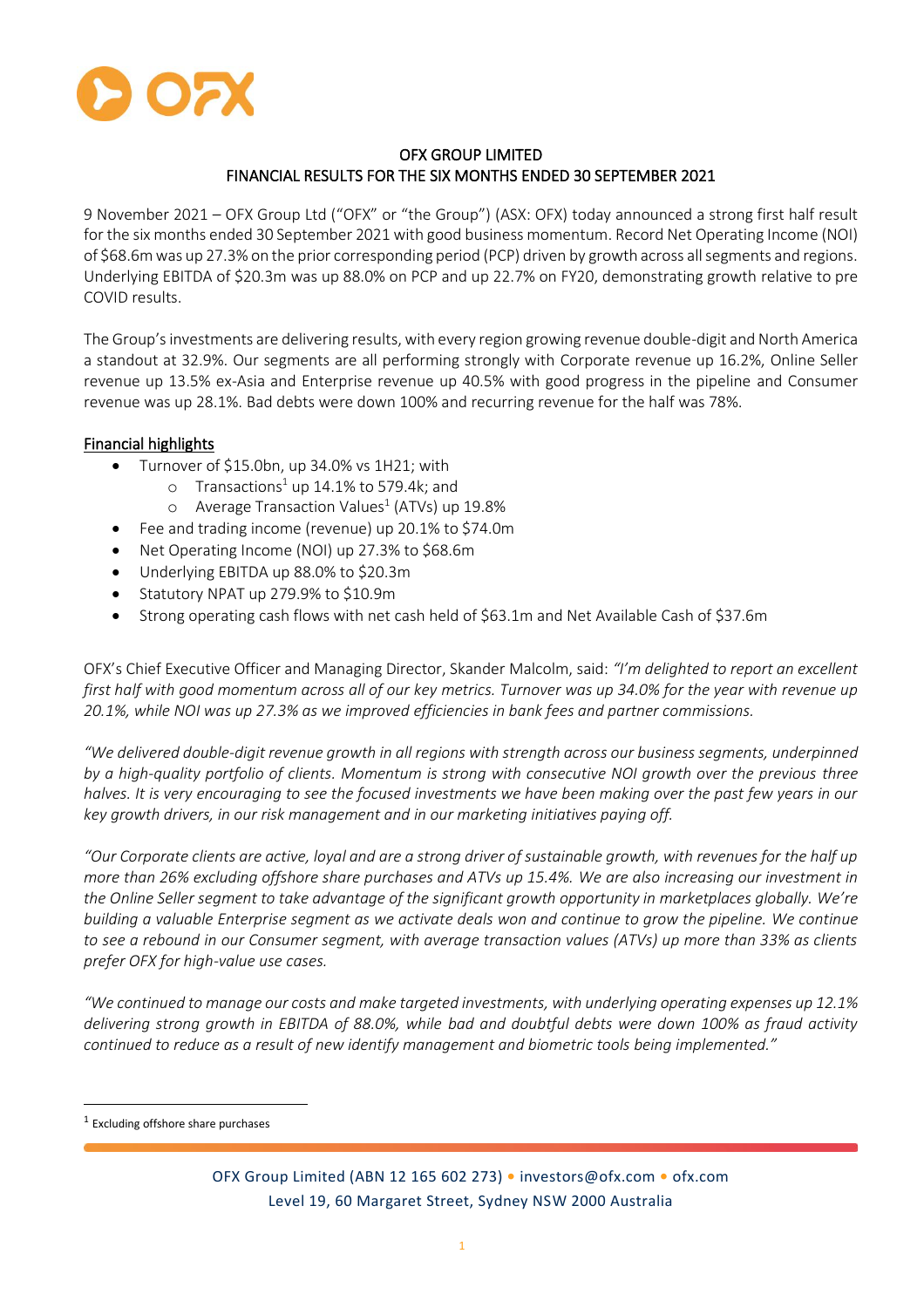

# OFX GROUP LIMITED FINANCIAL RESULTS FOR THE SIX MONTHS ENDED 30 SEPTEMBER 2021

9 November 2021 – OFX Group Ltd ("OFX" or "the Group") (ASX: OFX) today announced a strong first half result for the six months ended 30 September 2021 with good business momentum. Record Net Operating Income (NOI) of \$68.6m was up 27.3% on the prior corresponding period (PCP) driven by growth across all segments and regions. Underlying EBITDA of \$20.3m was up 88.0% on PCP and up 22.7% on FY20, demonstrating growth relative to pre COVID results.

The Group's investments are delivering results, with every region growing revenue double-digit and North America a standout at 32.9%. Our segments are all performing strongly with Corporate revenue up 16.2%, Online Seller revenue up 13.5% ex-Asia and Enterprise revenue up 40.5% with good progress in the pipeline and Consumer revenue was up 28.1%. Bad debts were down 100% and recurring revenue for the half was 78%.

# Financial highlights

- Turnover of \$15.0bn, up 34.0% vs 1H21; with
	- o Transactions<sup>1</sup> up 14.1% to 579.4k; and
	- $\circ$  Average Transaction Values<sup>1</sup> (ATVs) up 19.8%
- Fee and trading income (revenue) up 20.1% to \$74.0m
- Net Operating Income (NOI) up 27.3% to \$68.6m
- Underlying EBITDA up 88.0% to \$20.3m
- Statutory NPAT up 279.9% to \$10.9m
- Strong operating cash flows with net cash held of \$63.1m and Net Available Cash of \$37.6m

OFX's Chief Executive Officer and Managing Director, Skander Malcolm, said: *"I'm delighted to report an excellent first half with good momentum across all of our key metrics. Turnover was up 34.0% for the year with revenue up 20.1%, while NOI was up 27.3% as we improved efficiencies in bank fees and partner commissions.* 

*"We delivered double-digit revenue growth in all regions with strength across our business segments, underpinned by a high-quality portfolio of clients. Momentum is strong with consecutive NOI growth over the previous three halves. It is very encouraging to see the focused investments we have been making over the past few years in our key growth drivers, in our risk management and in our marketing initiatives paying off.* 

*"Our Corporate clients are active, loyal and are a strong driver of sustainable growth, with revenues for the half up more than 26% excluding offshore share purchases and ATVs up 15.4%. We are also increasing our investment in the Online Seller segment to take advantage of the significant growth opportunity in marketplaces globally. We're building a valuable Enterprise segment as we activate deals won and continue to grow the pipeline. We continue to see a rebound in our Consumer segment, with average transaction values (ATVs) up more than 33% as clients prefer OFX for high-value use cases.*

*"We continued to manage our costs and make targeted investments, with underlying operating expenses up 12.1% delivering strong growth in EBITDA of 88.0%, while bad and doubtful debts were down 100% as fraud activity continued to reduce as a result of new identify management and biometric tools being implemented."*

<sup>&</sup>lt;sup>1</sup> Excluding offshore share purchases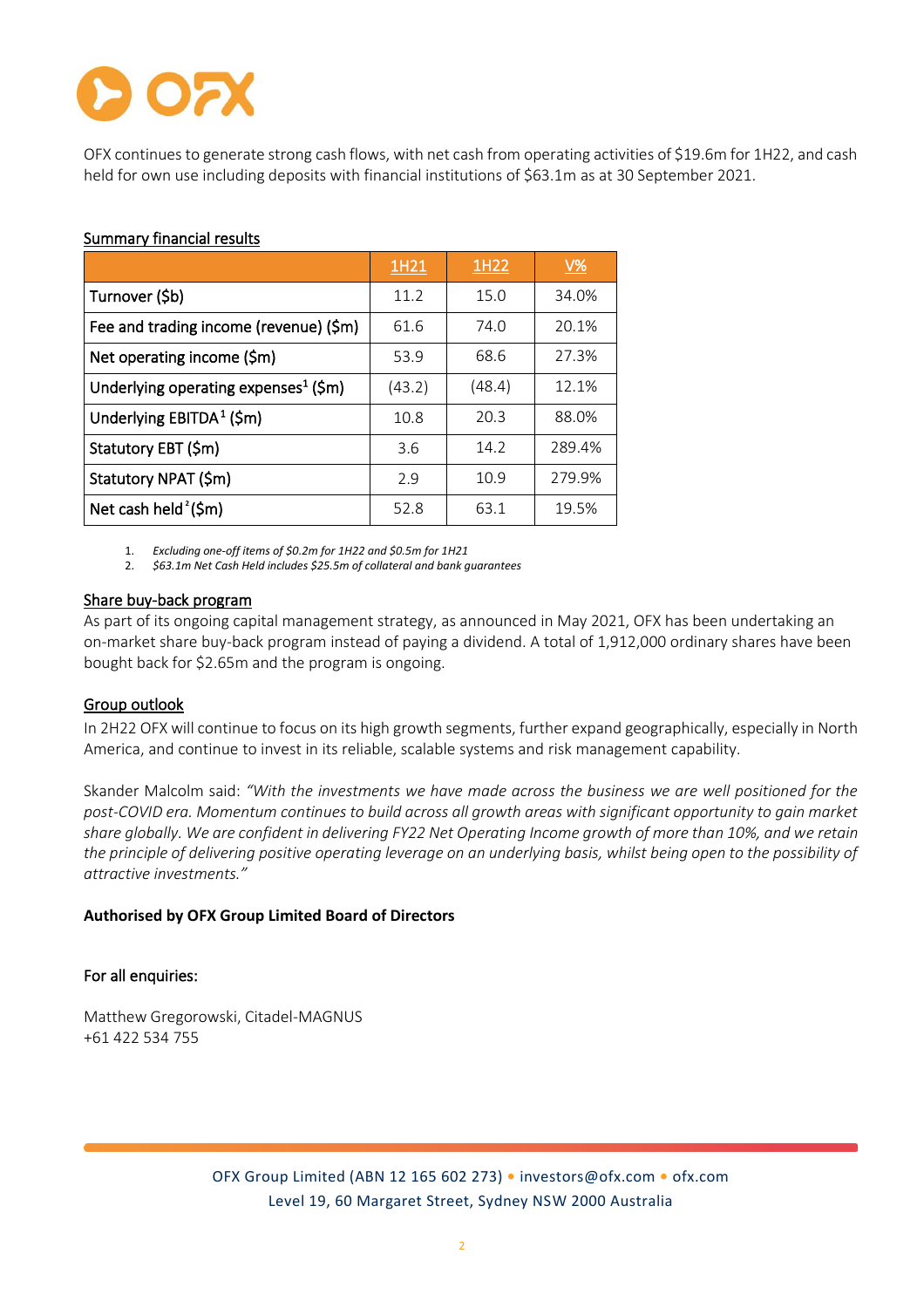OFX continues to generate strong cash flows, with net cash from operating activities of \$19.6m for 1H22, and cash held for own use including deposits with financial institutions of \$63.1m as at 30 September 2021.

## Summary financial results

|                                                  | 1H21   | 1H22   | $\underline{V\%}$ |
|--------------------------------------------------|--------|--------|-------------------|
| Turnover (\$b)                                   | 11.2   | 15.0   | 34.0%             |
| Fee and trading income (revenue) (\$m)           | 61.6   | 74.0   | 20.1%             |
| Net operating income (\$m)                       | 53.9   | 68.6   | 27.3%             |
| Underlying operating expenses <sup>1</sup> (\$m) | (43.2) | (48.4) | 12.1%             |
| Underlying $EBITDA1$ (\$m)                       | 10.8   | 20.3   | 88.0%             |
| Statutory EBT (\$m)                              | 3.6    | 14.2   | 289.4%            |
| Statutory NPAT (\$m)                             | 2.9    | 10.9   | 279.9%            |
| Net cash held <sup>2</sup> (\$m)                 | 52.8   | 63.1   | 19.5%             |

1. *Excluding one-off items of \$0.2m for 1H22 and \$0.5m for 1H21*

2. *\$63.1m Net Cash Held includes \$25.5m of collateral and bank guarantees*

## Share buy-back program

As part of its ongoing capital management strategy, as announced in May 2021, OFX has been undertaking an on-market share buy-back program instead of paying a dividend. A total of 1,912,000 ordinary shares have been bought back for \$2.65m and the program is ongoing.

# Group outlook

In 2H22 OFX will continue to focus on its high growth segments, further expand geographically, especially in North America, and continue to invest in its reliable, scalable systems and risk management capability.

Skander Malcolm said: *"With the investments we have made across the business we are well positioned for the post-COVID era. Momentum continues to build across all growth areas with significant opportunity to gain market share globally. We are confident in delivering FY22 Net Operating Income growth of more than 10%, and we retain the principle of delivering positive operating leverage on an underlying basis, whilst being open to the possibility of attractive investments."*

#### **Authorised by OFX Group Limited Board of Directors**

#### For all enquiries:

Matthew Gregorowski, Citadel-MAGNUS +61 422 534 755